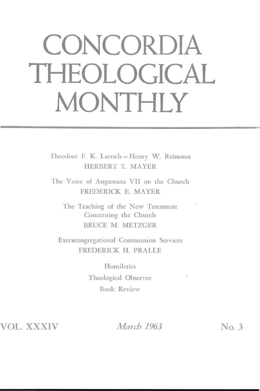## **CONCORDIA THEOLOGICAL MONTHLY**

Theodore F. K. Laetsch-Henry W. Reimann HERBERT T. MAYER

The Voice of Augustana VII on the Church FREDERICK E. MAYER

The Teaching of the New Testament Concerning the Church BRUCE M. METZGER

Extracongregational Communion Services FREDERICK H. PRALLE

> **Homiletics** Theological Observer Book Review

VOL. XXXIV

*March* 1963 **No. 3** 

 $\boldsymbol{f}$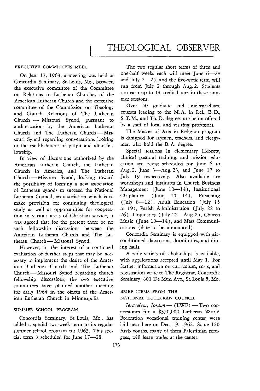## EXECUTIVE COMMITTEES MEET

On Jan. 17, 1963, a meeting was held at Concordia Seminary, St. Louis, Mo., between the executive committee of the Committee on Relations to Lutheran Churches of the American Lutheran Church and the executive committee of the Commission on Theology and Church Relations of The Lutheran Church - Missouri Synod, pursuant to authorization by the American Lutheran Church and The Lutheran Church-Missouri Synod regarding conversations looking to the establishment of pulpit and altar fellowship.

In view of discussions authorized by the American Lutheran Church, the Lutheran Church in America, and The Lutheran Church-Missouri Synod, looking toward the possibility of forming a new association of Lutheran synods to succeed the National Lutheran Council, an association which is to make provision for continuing theological study as well as opportunities for coopera*tion* in various areas of Christian service, it was agreed that for the present there be no such fellowship discussions between the American Lutheran Church and The Lutheran Church - Missouri Synod.

However, in the interest of a continued evaluation of further steps that may be necessary to implement the desire of the American Lutheran Church and The Lutheran Church - Missouri Synod regarding church fellowship discussions, the two executive committees have planned another meeting for early 1964 in the offices of the American Lutheran Church in Minneapolis.

## SUMMER SCHOOL PROGRAM

Concordia Seminary, St. Louis, Mo., has added a special two-week term to its regular summer school program for 1963. This special term is scheduled for June 17-28.

The two regular short terms of three and one-half weeks each will meet June 6-28 and July  $2-25$ , and the five-week term will run from July 2 through Aug. 2. Students can earn up to 14 credit hours in these summer sessions.

Over 50 graduate and undergraduate courses leading to the M. A. in Rel., B. D., S. T. M., and Th. D. degrees are being offered by a staff of local and visiting professors.

The Master of Arts in Religion program is designed for laymen, teachers, and clergymen who hold the B. A. degree.

Special sessions in elementary Hebrew, clinical pastoral training, and mission education are being scheduled for June 6 to Aug. 2, June  $3$ —Aug. 23, and June 17 to July 19 respectively. Also available are workshops and institutes in Church Business Management (June  $10-14$ ), Institutional Chaplaincy (June  $10-14$ ), Preaching (July 8-12), Adult Education (July 15 to 19), Parish Administration (July 22 to 26), Linguistics (July 22-Aug. 2), Church Music (June  $10-14$ ), and Mass Communications (date to be announced).

Concordia Seminary is equipped with airconditioned classrooms, dormitories, and dining halls.

A wide variety of scholarships is available, with applications accepted until May 1. For further information on curriculum, costs, and registration write to The Registrar, Concordia Seminary, 801 De Mun Ave., St. Louis 5, Mo.

## BRIEF ITEMS FROM THE NATIONAL LUTHERAN COUNCIL

*Ierusalem, Jordan* - (LWF) - Two cornerstones for a \$350,000 Lutheran World Federation vocational training center were laid near here on Dec. 19, 1962. Some 120 Arab youths, many of them Palestinian refugees, will learn trades at the center.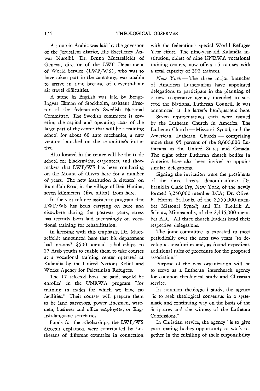A stone in Arabic was laid by the governor of the Jerusalem district, His Excellency Anwar Nuseibi. Dr. Bruno Muetzelfeldt of Geneva, director of the LWF Department of World Service (LWF/WS), who was to have taken part in the ceremony, was unable to arrive in time because of eleventh-hour air travel difficulties.

A stone in English was laid by Bengt-Ingvar Ekman of Stockholm, assistant director of the federation's Swedish National Committee. The Swedish committee is covering the capital and operating costs of the large part of the center that will be a training school for about 60 auto mechanics, a new venture launched on the committee's initiative.

Also located in the center will be the trade school for blacksmiths, carpenters, and shoemakers that LWF/WS has been conducting on the Mount of Olives here for a number of years. The new institution is simated on Ramallah Road in the village of Beit Hanina, seven kilometers (five miles) from here.

In the vast refugee assistance program that LWF/WS has been carrying on here and elsewhere during the postwar years, stress has recently been laid increasingly on vocational training for rehabilitation.

In keeping with this emphasis, Dr. Muetzelfeldt announced here that his department had granted \$500 annual scholarships to 17 Arab youths to enable them to take courses at a vocational training center operated at Kalandia by the United Nations Relief and Works Agency for Palestinian Refugees.

The 17 selected boys, he said, would be enrolled in the UNRWA program "for training in trades for which we have no facilities." Their courses will prepare them to be land surveyors, power linesmen, wiremen, business and office employees, or English-language secretaries.

Funds for the scholarships, the LWF/WS director explained, were contributed by Lutherans of different countries in connection

with the federation's special World Refugee Year effort. The nine-year-old Kalandia institution, oldest of nine UNRWA vocational training centers, now offers 15 courses with a total capacity of 392 trainees.

*New York-The* three major branches of American Lutheranism have appointed delegations to participate in the planning of a new cooperative agency intended to succeed the National Lutheran Council, it was announced at the latter's headquarters here.

Seven representatives each were named by the Lutheran Church in America, The Lutheran Church - Missouri Synod, and the American Lutheran Church - comprising more than 95 percent of the 8,600,000 Lutherans in the United States and Canada. The eight other Lutheran church bodies in America have also been invited to appoint similar delegations.

Signing the invitation were the presidents of the three largest denominations: Dr. Franklin Clark Fry, New York, of the newly formed 3,250,000-member LCA; Dr. Oliver R. Harms, St. Louis, of the 2,555,000-member Missouri Synod; and Dr. Fredrik A. Schiotz, Minneapolis, of the 2,445,000-member ALC. All three church leaders head their respective delegations.

The joint committee *is* expected to meet periodically over the next two years "to develop a constitution and, as found expedient, additional rules of procedure for the proposed association."

Purpose of the new organization will be to serve as a Lutheran interchurch agency for common theological study and Christian service.

In common theological study, the agency "is to seek theological consensus in a systematic and continuing way on the basis of the Scriptures and the witness of the Lutheran Confessions."

In Christian service, the agency "is to give participating bodies opportunity to work together in the fulfilling of their responsibility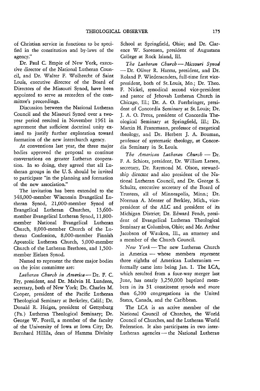of Christian service in functions to be specified in the constitution and by-laws of the agency."

Dr. Paul C. Empie of New York, executive director of the National Lutheran Council, and Dr. Walter F. Wolbrecht of Saint Louis, executive director of the Board of Directors of the Missouri Synod, have been appointed to serve as recorders of the committee's proceedings.

Discussion between the National Lutheran Council and the Missouri Synod over a twoyear period resulted in November 1961 in agreement that sufficient doctrinal unity existed to justify further exploration toward formation of the new interchurch agency.

At conventions last year, the three major bodies approved the proposal to continue conversations on greater Lutheran cooperarion. In so doing, they agreed that all Lutheran groups in the U.S. should be invited to participate "in the planning and formation of the new association."

The invitation has been extended to the 348,000-member Wisconsin Evangelical Lutheran Synod, 21,OOO-member Synod of Evangelical Lutheran Churches, 13,600 member Evangelical Lutheran Synod, 11,800 member National Evangelical Lutheran Church, 8,000-member Church of the Lutheran Confession, S,OOO-member Finnish Apostolic Lutheran Church, 5,000-member Church of the Lutheran Brethren, and 1,500 member Eielsen Synod.

Named to represent the three major bodies on the joint committee are:

Lutheran Church in America - Dr. F. C. Fry, president, and Dr. Malvin H. Lundeen, secretary, both of New York; Dr. Charles M. Cooper, president of the Pacific Lutheran Theological Seminary at Berkeley, Calif.; Dr. Donald R. Heiges, president of Gettysburg (Pa.) Lutheran Theological Seminary; Dr. George W. Forell, a member of the faculty of the University of Iowa at Iowa City; Dr. Bernhard Hillila, dean of Hamma Divinity School at Springfield, Ohio; and Dr. Clarence W. Sorensen, president of Augustana College at Rock Island, Ill.

*The Lutheran Church* - *Missouri Synod*  - Dr. Oliver R. Harms, president, and Dr. Roland P. Wiederaenders, full-time first vicepresident, both of St. Louis, Mo.; Dr. Theo. F. Nickel, synodical second vice-president and pastor of Jehovah Lutheran Church in Chicago, Ill.; Dr. A. O. Fuerbringer, president of Concordia Seminary at St. Louis; Dr. J. A. O. Preus, president of Concordia Theological Seminary at Springfield, Ill.; Dr. Martin H. Franzmann, professor of exegetical theology, and Dr. Herbert J. A. Bouman, professor of systematic theology, at Concordia Seminary in St. Louis.

The American Lutheran Church - Dr. F, A, Schiotz, president, Dr. William Larsen, secretary, Dr. Raymond M. Olson, stewardship director and also president of the National Lutheran Council, and Dr. George S. Schultz, executive secretary of the Board of Trustees, all of Minneapolis, Minn.; Dr. Norman A. Menter of Berkley, Mich., vicepresident of the ALC and president of its Michigan District; Dr. Edward Fendt, president of Evangelical Lutheran Theological Seminary at Columbus, Ohio; and Mr. Arthur Jacobson of Waukon, Ill., an attorney and a member of the Church Council.

New York-The new Lutheran Church in America - whose members represent three eighths of American Lutheranism  $$ formally came into being Jan. 1. The LCA, which resulted from a four-way merger last June, has nearly 3,250,000 baptized members in its 31 constituent synods and more than 6,200 congregations in the United States, Canada, and the Caribbean.

The LCA is an active member of the National Council of Churches, the World Council of Churches, and the Lutheran World Federation. It also participates in two inter-Lutheran agencies - the National Lutheran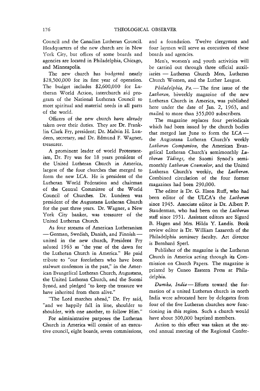Council and the Canadian Lutheran Council. Headquarters of the new church are in New York *City,* but offices of some boards and agencies are located in Philadelphia, Chicago, and Minneapolis.

The new church has budgeted nearly \$28,500,000 for its first year of operation. The budget includes \$2,600,000 for Lutheran WorId Action, interchurch aid program of the National Lutheran Council to meet spiritual and material needs in all parts of the world.

Officers of the new church have already taken over their duties. They are Dr. Franklin Clark Fry, president; Dr. Malvin H. Lundeen, secretary, and Dr. Edmund F. Wagner, treasurer.

A prominent leader of world Protestantism, Dr. Fry was for 18 years president of the United Lutheran Church in America, largest of the four churches that merged to form the new LCA. He is president of the Lutheran World Federation and chairman of the Central Committee of the World Council of Churches. Dr. Lundeen was president of the Augustana Lutheran Church for the past three years. Dr. Wagner, a New York City banker, was treasurer of the United Lutheran Church.

As four streams of American Lutheranism - German, Swedish, Danish, and Finnishunited in the new church, President Fry saluted 1963 as "the year of the dawn for the Lutheran Church in America." He paid tribute to "our forefathers who have been stalwart confessors in the past," in the American Evangelical Lutheran Church, Augustana, the United Lutheran Church, and the Suomi Synod, and pledged "to keep the treasure we have inherited from them alive."

"The Lord marches ahead," Dr. Fry said, "and we happily fall in line, shoulder to shoulder, with one another, to follow Him."

For administrative purposes the Lutheran Church in America will consist of an executive council, eight boards, seven commissions, and a foundation. Twelve clergymen and four laymen will serve as executives of these boards and agencies.

Men's, women's and youth activities will be carried out through three official auxiliaries - Lutheran Church Men, Lutheran Church Women, and the Luther League.

Philadelphia, Pa. - The first issue of the *Lutheran,* biweekly magazine of the new Lutheran Church in America, was published here under the date of Jan. 2, 1963, and mailed to more than 355,000 subscribers.

The magazine replaces four periodicals which had been issued by the church bodies that merged last June to form the  $LCA$ the Augustana Lutheran Church's weekly *Lutheran Companion,* the American Evangelical Lutheran Church's semimonthly *Lutheran Tidings,* the Suomi Synod's semimonthly *Lutheran Counselor,* and the United Lutheran Church's weekly, the *Lutheran.*  Combined circulation of the four former magazines had been 290,000.

The editor is Dr. G. Elson Ruff, who had been editor of the ULCA's the *Lutheran* since 1945. Associate editor is Dr. Albert P. Stauderman, who had been on the *Lutheran*  staff since 1951. Assistant editors are Sigurd B. Hagen and Mrs. Hilda Y. Landis. Book review editor is Dr. William Lazareth of the Philadelphia seminary faculty. Art director is Bernhard Sperl.

Publisher of the magazine is the Lutheran Church in America acting through its Commission on Church Papers. The magazine is printed by Cuneo Eastern Press at Philadelphia.

Dumka, India-Efforts toward the formation of a united Lutheran church in north India were advocated here by delegates from four of the five Lutheran churches now functioning in this region. Such a church would have about 300,000 baptized members.

Action to this effect was taken at the second annual meeting of the Regional Confer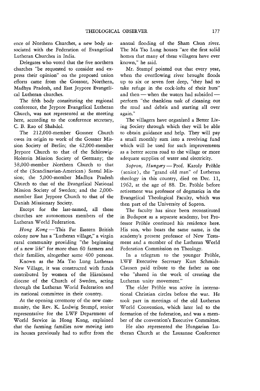ence of Northern Churches, a new body associated with the Federation of Evangelical Lutheran Churches in India.

Delegates who voted that the five northern churches "be requested to consider and express their opinion" on the proposed union efforts came from the Gossner, Northern, Madhya Pradesh, and East Jeypore Evangelical Lutheran churches.

The fifth body constituting the regional conference, the Jeypore Evangelical Lutheran Church, was not represented at the meeting here, according to the conference secretary, C. B. Rao of Shahdol.

The 2I2,000-member Gossner Church owes its origin to work of the Gossner Mission Society of Berlin; the 42,000-member Jeypore Church to that of the Schleswig-Holstein Mission Society of Germany; the 38,OOO-member Northern Church to that of the (Scandinavian-American) Santal Mission; the 5,OOO-member Madhya Pradesh Church to that of the Evangelical National Mission Society of Sweden; and the 2,000 member East Jeypore Church to that of the Danish Missionary Society.

Except for the last-named, all these churches are autonomous members of the Lutheran World Federation.

*Hong Kong-This* Far Eastern British colony now has a "Lutheran village," a virgin rural community providing "the beginning of a new life" for more than 60 farmers and their families, altogether some 400 persons.

Known as the Ma Tso Lung Lutheran New Village, it was constructed with funds contributed by women of the Härnösand diocese of the Church of Sweden, acting through the Lutheran World Federation and its national committee in their country.

At the opening ceremony of the new community, the Rev. K. Ludwig Stumpf, senior representative for the LWF Department of World Service in Hong Kong, explained that the farming families now moving into its houses previously had to suffer from the

annual flooding of the Sham Chun river. The Ma Tso Lung houses "are the first solid homes that many of these villagers have ever known," he said.

Mr. Stumpf pointed out that every year, when the overflowing river brought floods up to six or seven feet deep, "they had to take refuge in the cock-lofts of their huts" and then - when the waters had subsidedperform "the thankless task of cleaning out the mud and debris and starting all over again."

The villagers have organized a Better Living Society through which they will be able to obtain guidance and help. They will pay a small monthly sum into a revolving fund which will be used for such improvements as a better access road to the village or more adequate supplies of water and electricity.

*Sopron, Hungary* - Prof. Karoly Pröhle (senior), the "grand old man" of Lutheran theology in this country, died on Dec. 11, 1962, at the age of 88. Dr. Pröhle before retirement was professor of dogmatics in the Evangelical Theological Faculty, which was then part of the University of Sopron.

The faculty has since been reconstituted in Budapest as a separate academy, but Professor Pröhle continued his residence here. His son, who bears the same name, is the academy's present professor of New Testament and a member of the Lutheran World Federation Commission on Theology.

In a telegram to the younger Pröhle, LWF Executive Secretary Kurt Schmidt-Clausen paid tribute to the father as one who "shared in the work of creating the Lutheran unity movement."

The elder Pröhle was active in international Christian circles before the war. He took part in meetings of the old Lutheran World Convention, which later led to the formation of the federation, and was a member of the convention's Executive Committee.

He also represented the Hungarian Lutheran Church at the Lausanne Conference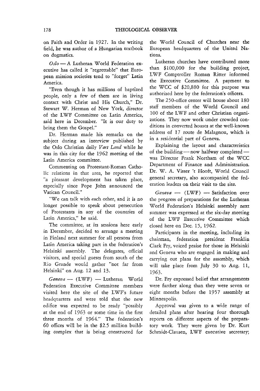on Faith and Order in 1927. In the writing field, he was author of a Hungarian textbook on dogmatics.

Oslo - A Lutheran World Federation executive has called it "regrettable" that European mission societies tend to "forget" Latin America.

"Even though it has millions of baptized people, only a few of them are in living contact with Christ and His Church," Dr. Stewart W. Herman of New York, director of the LWF Committee on Latin America, said here in December. "It is our duty to bring them the Gospel."

Dr. Herman made his remarks on the subject during an interview published by the Oslo Christian daily *Vart Land* while he was in this city for the 1962 meeting of the Latin America committee.

Commenting on Protestant-Roman Catholic relations in that area, he reported that "a pleasant development has taken place, especially since Pope John announced the Vatican Council."

"We can talk with each other, and it is no longer possible to speak about persecution of Protestants in any of the countries of Latin America," he said.

The committee, at its sessions here early in December, decided to arrange a meeting in Finland next summer for all persons from Latin America taking part in the federation's Helsinki assembly. The delegates, official visitors, and special guests from south of the Rio Grande would gather "not far from Helsinki" on Aug. 12 and 13.

*Geneva* - (LWF) - Lutheran World Federation Executive Committee members visited here the site of the LWF's future headquarters and were told that the new edifice was expected to be ready "possibly at the end of 1963 or some time in the first three months of 1964." The federation's 60 offices will be in the \$2.5 million building complex that is being constructed for the World Council of Churches near the European headquarters of the United Nations.

Lutheran churches have contributed more than \$100,000 for the building project, L WF Comptroller Roman Ritter informed the Executive Committee. A payment to the WCC of \$20,880 for this purpose was authorized here by the federation's officers.

The 250-office center will house about 180 staff members of the World Council and 100 of the LWF and other Christian organizations. They now work under crowded conditions in converted houses at the well-known address of 17 route de Malagnou, which is in a residential part of Geneva.

Explaining the layout and characteristics of the building  $-$  now halfway completed  $$ was Director Frank Northam of the WCC Department of Finance and Administration. Dr. W. A. Visser 't Hooft, World Council general secretary, also accompanied the federation leaders on their visit to the site.

*Geneva* - (LWF) - Satisfaction over the progress of preparations for the Lutheran World Federation's Helsinki assembly next summer was expressed at the six-day meeting of the LWF Executive Committee which closed here on Dec. 15, 1962.

Participants in the meeting, including its chairman, federation president Franklin Clark Fry, voiced praise for those in Helsinki and Geneva who are engaged in making and carrying out plans for the assembly, which will take place from July 30 to Aug. 11, 1963.

Dr. Fry expressed belief that arrangements were farther along than they were seven or eight months before the 1957 assembly at Minneapolis.

Approval was given to a wide range of detailed plans after hearing four thorough reports on different aspects of the preparatory work. They were given by Dr. Kurt Schmidt-Clausen, LWF executive secretary;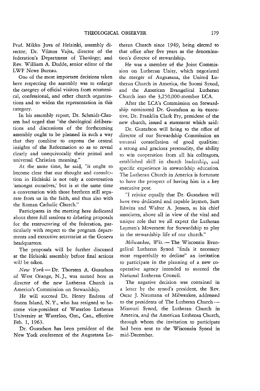Prof. Mikko Juva of Helsinki, assembly director; Dr. Vilmos Vajta, director of the federation's Department of Theology; and Rev. William A. Dudde, senior editor of the LWF News Bureau.

One of the most important decisions taken here respecting the assembly was to enlarge the category of official visitors from ecumenical, confessional, and other church organizations and to widen the representation in this category.

In his assembly report, Dr. Schmidt-Clausen had urged that "the theological deliberations and discussions of the forthcoming assembly ought to be planned in such a way that they combine to express the central insights of the Reformation so as to reveal clearly and unequivocally their primal and universal Christian meaning."

At the same time, he said, "it ought to become clear that our thought and consultation in Helsinki is not only a conversation 'amongst ourselves,' but is at the same time a conversation with those brethren still separate from us in the faith, and thus also with the Roman Catholic Church."

Participants in the meeting here dedicated about three full sessions to debating proposals for the restructuring of the federation, particularly with respect to the program departments and executive secretariat at the Geneva headquarters.

The proposals will be further discussed at the Helsinki assembly before final actions will be taken.

*New York-Dr.* Thorsten A. Gustafson of West Orange, N. J., was named here as director of the new Lutheran Church in America's Commission on Stewardship.

He will succeed Dr. Henry Endress of Staten Island, N. Y., who has resigned to become vice-president of Waterloo Lutheran University at Waterloo, Ont., Can., effective Feb. 1, 1963.

Dr. Gustafson has been president of the New York conference of the Augustana Lu-

theran Church since 1949, being elected to that office after five years as the denomination's director of stewardship.

He was a member of the Joint Commission on Lutheran Unity, which negotiated the merger of Augustana, the United Lutheran Church in America, the Suomi Synod, and the American Evangelical Lutheran Church into the 3,250,OOO-member LCA.

After the LCA's Commission on Stewardship nominated Dr. Gustafson as its executive, Dr. Franklin Clark Fry, president of the new church, issued a statement which said:

Dr. Gustafson will bring to the office of director of our Stewardship Commission an unusual constellation of good qualities: a strong and gracious personality, the ability to win cooperation from all his colleagues, established skill in church leadership, and specific experience in stewardship education. The Lutheran Church in America is fortunate to have the prospect of having him in a key executive post.

"I rejoice equally that Dr. Gustafson will have two dedicated and capable laymen, Sam Edwins and Walter A. Jensen, as his chief associates, above all in view of the vital and unique role that we all expect the Lutheran Laymen's Movement for Stewardship to play in the stewardship life of our church."

*Milwaukee, Wis.* - The Wisconsin Evangelical Lutheran Synod "finds it necessary most respectfully to decline" an invitation to participate in the planning of a new cooperative agency intended to succeed the National Lutheran Council.

The negative decision was contained in a letter by the synod's president, the Rev. Oscar J. Naumann of Milwaukee, addressed to the presidents of The Lutheran Church-Missouri Synod, the Lutheran Church in America, and the American Lutheran Church, through whom the invitation to participate had been sent to the Wisconsin Synod in mid-December.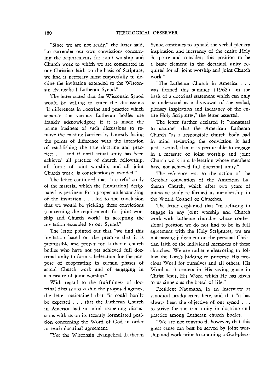"Since we are not ready," the letter said, "to surrender our own convictions concerning the requirements for joint worship and Church work to which we are committed in our Christian faith on the basis of Scripture, we find it necessary most respectfully to decline the invitation extended to the Wisconsin Evangelical Lutheran Synod."

The letter stated that the Wisconsin Synod would be willing to enter the discussions "if differences in doctrine and practice which separate the various Lutheran bodies are frankly acknowledged; if it is made the prime business of such discussions to remove the existing barriers by honestly facing the points of difference with the intention of establishing the true doctrine and practice; . . . and if until actual unity has been achieved all practice of church fellowship, all forms of joint worship, and all joint Church work, is conscientiously avoided."

The letter continued that "a careful study of the material which the [invitation} designated as pertinent for a proper understanding of the invitation . . . led to the conclusion that we would be yielding these convictions [concerning the requirements for joint worship and Church work} in accepting the invitation extended to our Synod."

The letter pointed out that "we find this invitation based on the premise that it is permissible and proper for Lutheran church bodies who have not yet achieved full doctrinal unity to form a federation for the purpose of cooperating in certain phases of actual Church work and of engaging in a measure of joint worship."

With regard to the fruitfulness of doctrinal discussions within the proposed agency, the letter maintained that "it could hardly be expected . . . that the Lutheran Church in America had in mind reopening discussions with us on its recently formulated position concerning the Word of God in order to reach doctrinal agreement.

"Yet the Wisconsin Evangelical Lutheran

Synod continues to uphold the verbal plenary inspiration and inerrancy of the entire Holy Scripture and considers this position to be a basic element in the doctrinal unity required for all joint worship and joint Church work."

"The Lutheran Church in America . . . was formed this summer (1962) on the basis of a doctrinal statement which can only be understood as a disavowal of the verbal, plenary inspiration and inerrancy of the entire Holy Scriptures," the letter asserted.

The letter further declared it "unnatural to assume" that the American Lutheran Church "as a responsible church body had in mind reviewing the conviction it had just asserted, that it is permissible to engage in a measure of joint worship and joint Church work in a federation whose members have not achieved full doctrinal unity."

The reference was to the action of the October convention of the American Lutheran Church, which after two years of intensive study reaffirmed its membership in the World Council of Churches.

The letter explained that "in refusing to engage in any joint worship and Church work with Lutheran churches whose confessional position we do not find to be in full agreement with the Holy Scriptures, we are not passing judgement on the personal Christian faith of the individual members of these churches. We are rather endeavoring to follow the Lord's bidding to preserve His precious Word for ourselves and all others, His Word as it centers in His saving grace in Christ Jesus, His Word which He has given to us sinners as the bread of life."

President Naumann, in an interview at synodical headquarters here, said that "it has always been the objective of our synod ... to strive for the true unity in doctrine and practice among Lutheran church bodies.

"We are not convinced, however, that this great cause can best be served by joint worship and work prior to attaining a God-pleas